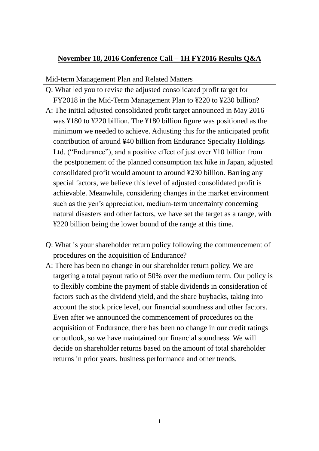## **November 18, 2016 Conference Call – 1H FY2016 Results Q&A**

Mid-term Management Plan and Related Matters

- Q: What led you to revise the adjusted consolidated profit target for FY2018 in the Mid-Term Management Plan to ¥220 to ¥230 billion?
- A: The initial adjusted consolidated profit target announced in May 2016 was ¥180 to ¥220 billion. The ¥180 billion figure was positioned as the minimum we needed to achieve. Adjusting this for the anticipated profit contribution of around ¥40 billion from Endurance Specialty Holdings Ltd. ("Endurance"), and a positive effect of just over ¥10 billion from the postponement of the planned consumption tax hike in Japan, adjusted consolidated profit would amount to around ¥230 billion. Barring any special factors, we believe this level of adjusted consolidated profit is achievable. Meanwhile, considering changes in the market environment such as the yen's appreciation, medium-term uncertainty concerning natural disasters and other factors, we have set the target as a range, with ¥220 billion being the lower bound of the range at this time.
- Q: What is your shareholder return policy following the commencement of procedures on the acquisition of Endurance?
- A: There has been no change in our shareholder return policy. We are targeting a total payout ratio of 50% over the medium term. Our policy is to flexibly combine the payment of stable dividends in consideration of factors such as the dividend yield, and the share buybacks, taking into account the stock price level, our financial soundness and other factors. Even after we announced the commencement of procedures on the acquisition of Endurance, there has been no change in our credit ratings or outlook, so we have maintained our financial soundness. We will decide on shareholder returns based on the amount of total shareholder returns in prior years, business performance and other trends.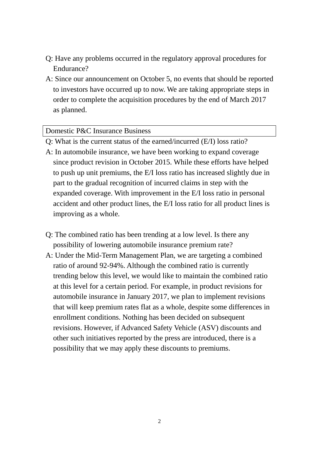- Q: Have any problems occurred in the regulatory approval procedures for Endurance?
- A: Since our announcement on October 5, no events that should be reported to investors have occurred up to now. We are taking appropriate steps in order to complete the acquisition procedures by the end of March 2017 as planned.

## Domestic P&C Insurance Business

- Q: What is the current status of the earned/incurred (E/I) loss ratio?
- A: In automobile insurance, we have been working to expand coverage since product revision in October 2015. While these efforts have helped to push up unit premiums, the E/I loss ratio has increased slightly due in part to the gradual recognition of incurred claims in step with the expanded coverage. With improvement in the E/I loss ratio in personal accident and other product lines, the E/I loss ratio for all product lines is improving as a whole.
- Q: The combined ratio has been trending at a low level. Is there any possibility of lowering automobile insurance premium rate?
- A: Under the Mid-Term Management Plan, we are targeting a combined ratio of around 92-94%. Although the combined ratio is currently trending below this level, we would like to maintain the combined ratio at this level for a certain period. For example, in product revisions for automobile insurance in January 2017, we plan to implement revisions that will keep premium rates flat as a whole, despite some differences in enrollment conditions. Nothing has been decided on subsequent revisions. However, if Advanced Safety Vehicle (ASV) discounts and other such initiatives reported by the press are introduced, there is a possibility that we may apply these discounts to premiums.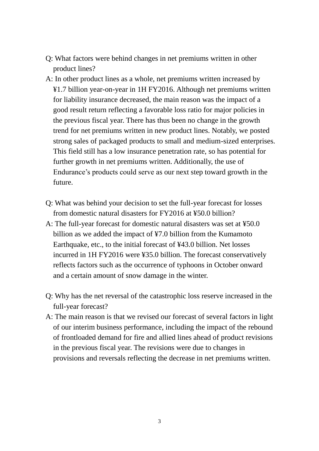- Q: What factors were behind changes in net premiums written in other product lines?
- A: In other product lines as a whole, net premiums written increased by ¥1.7 billion year-on-year in 1H FY2016. Although net premiums written for liability insurance decreased, the main reason was the impact of a good result return reflecting a favorable loss ratio for major policies in the previous fiscal year. There has thus been no change in the growth trend for net premiums written in new product lines. Notably, we posted strong sales of packaged products to small and medium-sized enterprises. This field still has a low insurance penetration rate, so has potential for further growth in net premiums written. Additionally, the use of Endurance's products could serve as our next step toward growth in the future.
- Q: What was behind your decision to set the full-year forecast for losses from domestic natural disasters for FY2016 at ¥50.0 billion?
- A: The full-year forecast for domestic natural disasters was set at ¥50.0 billion as we added the impact of ¥7.0 billion from the Kumamoto Earthquake, etc., to the initial forecast of ¥43.0 billion. Net losses incurred in 1H FY2016 were ¥35.0 billion. The forecast conservatively reflects factors such as the occurrence of typhoons in October onward and a certain amount of snow damage in the winter.
- Q: Why has the net reversal of the catastrophic loss reserve increased in the full-year forecast?
- A: The main reason is that we revised our forecast of several factors in light of our interim business performance, including the impact of the rebound of frontloaded demand for fire and allied lines ahead of product revisions in the previous fiscal year. The revisions were due to changes in provisions and reversals reflecting the decrease in net premiums written.